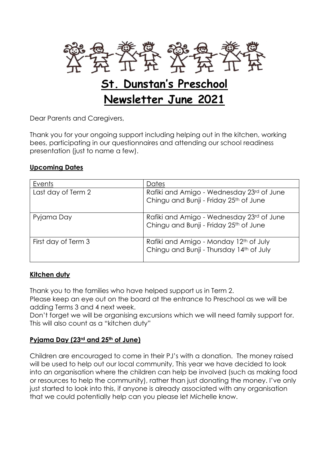

Dear Parents and Caregivers,

Thank you for your ongoing support including helping out in the kitchen, working bees, participating in our questionnaires and attending our school readiness presentation (just to name a few).

#### **Upcoming Dates**

| Events              | Dates                                                                               |
|---------------------|-------------------------------------------------------------------------------------|
| Last day of Term 2  | Rafiki and Amigo - Wednesday 23rd of June<br>Chingu and Bunji - Friday 25th of June |
| Pyjama Day          | Rafiki and Amigo - Wednesday 23rd of June<br>Chingu and Bunji - Friday 25th of June |
| First day of Term 3 | Rafiki and Amigo - Monday 12th of July<br>Chingu and Bunji - Thursday 14th of July  |

#### **Kitchen duty**

Thank you to the families who have helped support us in Term 2.

Please keep an eye out on the board at the entrance to Preschool as we will be adding Terms 3 and 4 next week.

Don't forget we will be organising excursions which we will need family support for. This will also count as a "kitchen duty"

#### **Pyjama Day (23rd and 25th of June)**

Children are encouraged to come in their PJ's with a donation. The money raised will be used to help out our local community, This year we have decided to look into an organisation where the children can help be involved (such as making food or resources to help the community), rather than just donating the money. I've only just started to look into this, if anyone is already associated with any organisation that we could potentially help can you please let Michelle know.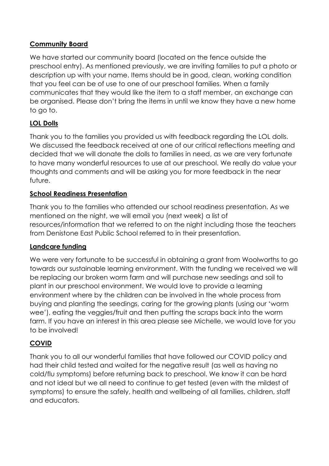## **Community Board**

We have started our community board (located on the fence outside the preschool entry). As mentioned previously, we are inviting families to put a photo or description up with your name. Items should be in good, clean, working condition that you feel can be of use to one of our preschool families. When a family communicates that they would like the item to a staff member, an exchange can be organised. Please don't bring the items in until we know they have a new home to go to.

# **LOL Dolls**

Thank you to the families you provided us with feedback regarding the LOL dolls. We discussed the feedback received at one of our critical reflections meeting and decided that we will donate the dolls to families in need, as we are very fortunate to have many wonderful resources to use at our preschool. We really do value your thoughts and comments and will be asking you for more feedback in the near future.

## **School Readiness Presentation**

Thank you to the families who attended our school readiness presentation. As we mentioned on the night, we will email you (next week) a list of resources/information that we referred to on the night including those the teachers from Denistone East Public School referred to in their presentation.

## **Landcare funding**

We were very fortunate to be successful in obtaining a grant from Woolworths to go towards our sustainable learning environment. With the funding we received we will be replacing our broken worm farm and will purchase new seedings and soil to plant in our preschool environment. We would love to provide a learning environment where by the children can be involved in the whole process from buying and planting the seedings, caring for the growing plants (using our 'worm wee'), eating the veggies/fruit and then putting the scraps back into the worm farm. If you have an interest in this area please see Michelle, we would love for you to be involved!

# **COVID**

Thank you to all our wonderful families that have followed our COVID policy and had their child tested and waited for the negative result (as well as having no cold/flu symptoms) before returning back to preschool. We know it can be hard and not ideal but we all need to continue to get tested (even with the mildest of symptoms) to ensure the safely, health and wellbeing of all families, children, staff and educators.